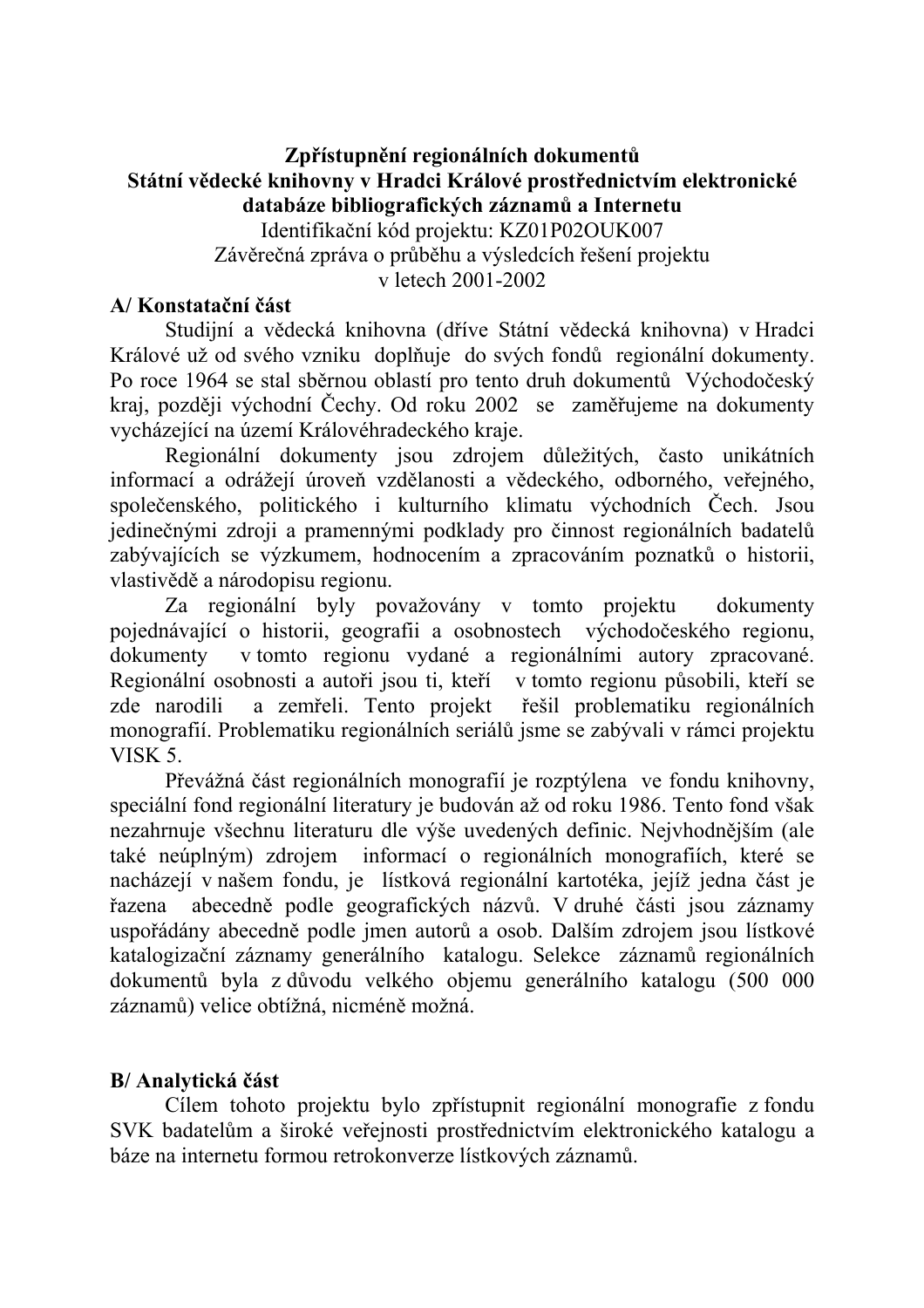# Zpřístupnění regionálních dokumentů Státní vědecké knihovny v Hradci Králové prostřednictvím elektronické databáze bibliografických záznamů a Internetu

Identifikační kód projektu: KZ01P02OUK007 Závěrečná zpráva o průběhu a výsledcích řešení projektu v letech 2001-2002

#### A/Konstatační část

Studijní a vědecká knihovna (dříve Státní vědecká knihovna) v Hradci Králové už od svého vzniku doplňuje do svých fondů regionální dokumenty. Po roce 1964 se stal sběrnou oblastí pro tento druh dokumentů Východočeský kraj, později východní Čechy. Od roku 2002 se zaměřujeme na dokumenty vycházející na území Královéhradeckého kraje.

Regionální dokumenty jsou zdrojem důležitých, často unikátních informací a odrážejí úroveň vzdělanosti a vědeckého, odborného, veřejného, společenského, politického i kulturního klimatu východních Čech. Jsou jedinečnými zdroji a pramennými podklady pro činnost regionálních badatelů zabývajících se výzkumem, hodnocením a zpracováním poznatků o historii, vlastivědě a národopisu regionu.

Za regionální byly považovány v tomto projektu dokumenty pojednávající o historii, geografii a osobnostech východočeského regionu, v tomto regionu vydané a regionálními autory zpracované. dokumenty Regionální osobnosti a autoři jsou ti, kteří v tomto regionu působili, kteří se zde narodili a zemřeli. Tento projekt řešil problematiku regionálních monografií. Problematiku regionálních seriálů jsme se zabývali v rámci projektu VISK 5.

Převážná část regionálních monografií je rozptýlena ve fondu knihovny, speciální fond regionální literatury je budován až od roku 1986. Tento fond však nezahrnuje všechnu literaturu dle výše uvedených definic. Nejvhodnějším (ale také neúplným) zdrojem informací o regionálních monografiích, které se nacházejí v našem fondu, je lístková regionální kartotéka, jejíž jedna část je abecedně podle geografických názvů. V druhé části jsou záznamy řazena uspořádány abecedně podle jmen autorů a osob. Dalším zdrojem jsou lístkové katalogizační záznamy generálního katalogu. Selekce záznamů regionálních dokumentů byla z důvodu velkého objemu generálního katalogu (500 000 záznamů) velice obtížná, nicméně možná.

### B/ Analytická část

Cílem tohoto projektu bylo zpřístupnit regionální monografie z fondu SVK badatelům a široké veřejnosti prostřednictvím elektronického katalogu a báze na internetu formou retrokonverze lístkových záznamů.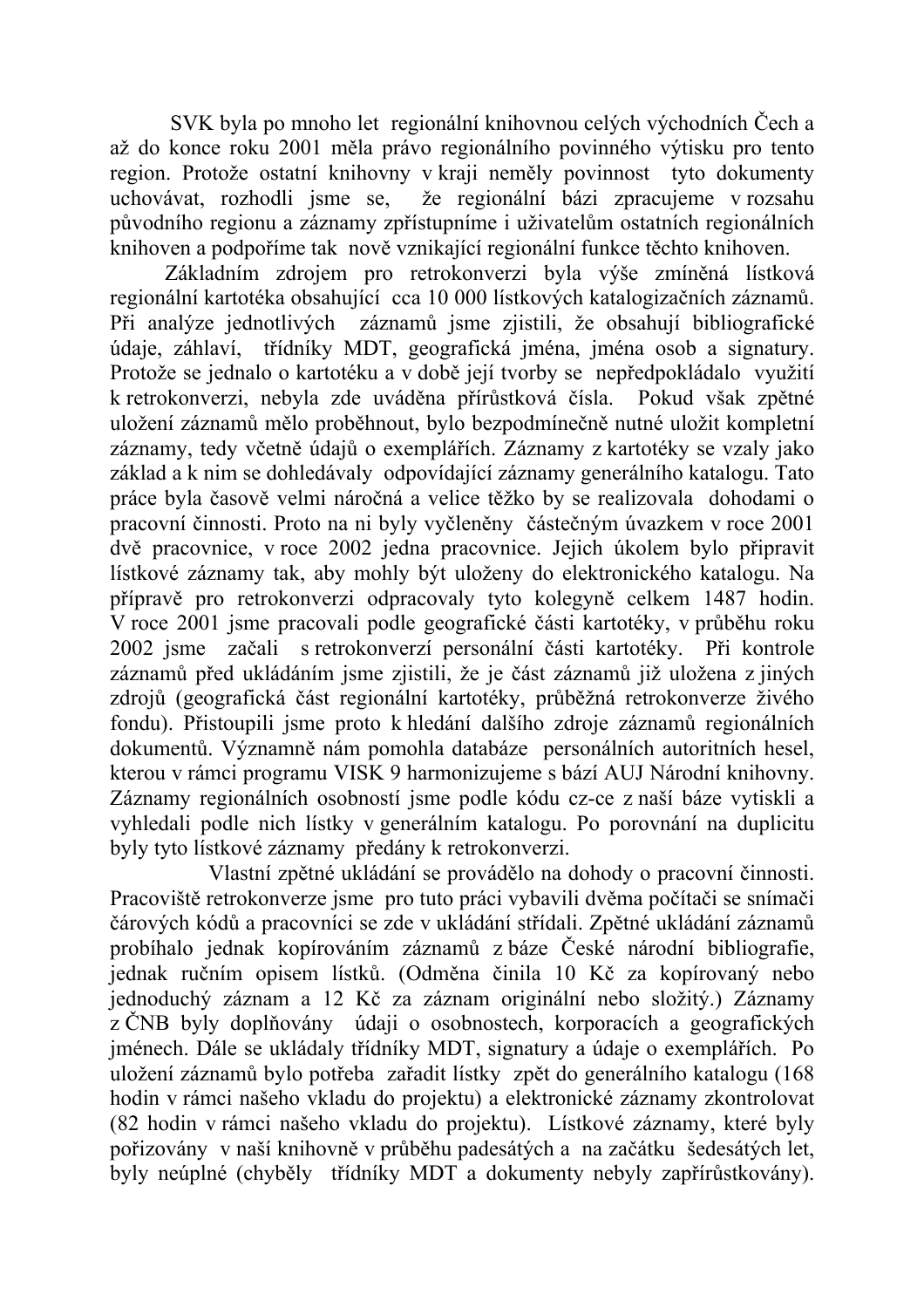SVK byla po mnoho let regionální knihovnou celých východních Čech a až do konce roku 2001 měla právo regionálního povinného výtisku pro tento region. Protože ostatní knihovny v kraji neměly povinnost tyto dokumenty že regionální bázi zpracujeme v rozsahu uchovávat, rozhodli isme se, původního regionu a záznamy zpřístupníme i uživatelům ostatních regionálních knihoven a podpoříme tak nově vznikající regionální funkce těchto knihoven.

Základním zdrojem pro retrokonverzi byla výše zmíněná lístková regionální kartotéka obsahující cca 10 000 listkových katalogizačních záznamů. Při analýze jednotlivých záznamů jsme zjistili, že obsahují bibliografické údaje, záhlaví, třídníky MDT, geografická jména, jména osob a signatury. Protože se jednalo o kartotéku a v době její tvorby se nepředpokládalo využití k retrokonverzi, nebyla zde uváděna přírůstková čísla. Pokud však zpětné uložení záznamů mělo proběhnout, bylo bezpodmínečně nutné uložit kompletní záznamy, tedy včetně údajů o exemplářích. Záznamy z kartotéky se vzaly jako základ a k nim se dohledávaly odpovídající záznamy generálního katalogu. Tato práce byla časově velmi náročná a velice těžko by se realizovala dohodami o pracovní činnosti. Proto na ni byly vyčleněny částečným úvazkem v roce 2001 dvě pracovnice, v roce 2002 jedna pracovnice. Jejich úkolem bylo připravit lístkové záznamy tak, aby mohly být uloženy do elektronického katalogu. Na přípravě pro retrokonverzi odpracovaly tyto kolegyně celkem 1487 hodin. V roce 2001 jsme pracovali podle geografické části kartotéky, v průběhu roku 2002 jsme začali s retrokonverzí personální části kartotéky. Při kontrole záznamů před ukládáním jsme zjistili, že je část záznamů již uložena z jiných zdrojů (geografická část regionální kartotéky, průběžná retrokonverze živého fondu). Přistoupili jsme proto k hledání dalšího zdroje záznamů regionálních dokumentů. Významně nám pomohla databáze personálních autoritních hesel, kterou v rámci programu VISK 9 harmonizujeme s bází AUJ Národní knihovny. Záznamy regionálních osobností jsme podle kódu cz-ce z naší báze vytiskli a vyhledali podle nich lístky v generálním katalogu. Po porovnání na duplicitu byly tyto lístkové záznamy předány k retrokonverzi.

Vlastní zpětné ukládání se provádělo na dohody o pracovní činnosti. Pracoviště retrokonverze jsme pro tuto práci vybavili dvěma počítači se snímači čárových kódů a pracovníci se zde v ukládání střídali. Zpětné ukládání záznamů probíhalo jednak kopírováním záznamů z báze České národní bibliografie, jednak ručním opisem lístků. (Odměna činila 10 Kč za kopírovaný nebo jednoduchý záznam a 12 Kč za záznam originální nebo složitý.) Záznamy z ČNB byly doplňovány údaji o osobnostech, korporacích a geografických jménech. Dále se ukládaly třídníky MDT, signatury a údaje o exemplářích. Po uložení záznamů bylo potřeba zařadit lístky zpět do generálního katalogu (168 hodin v rámci našeho vkladu do projektu) a elektronické záznamy zkontrolovat (82 hodin v rámci našeho vkladu do projektu). Lístkové záznamy, které byly pořizovány v naší knihovně v průběhu padesátých a na začátku šedesátých let. byly neúplné (chyběly třídníky MDT a dokumenty nebyly zapřírůstkovány).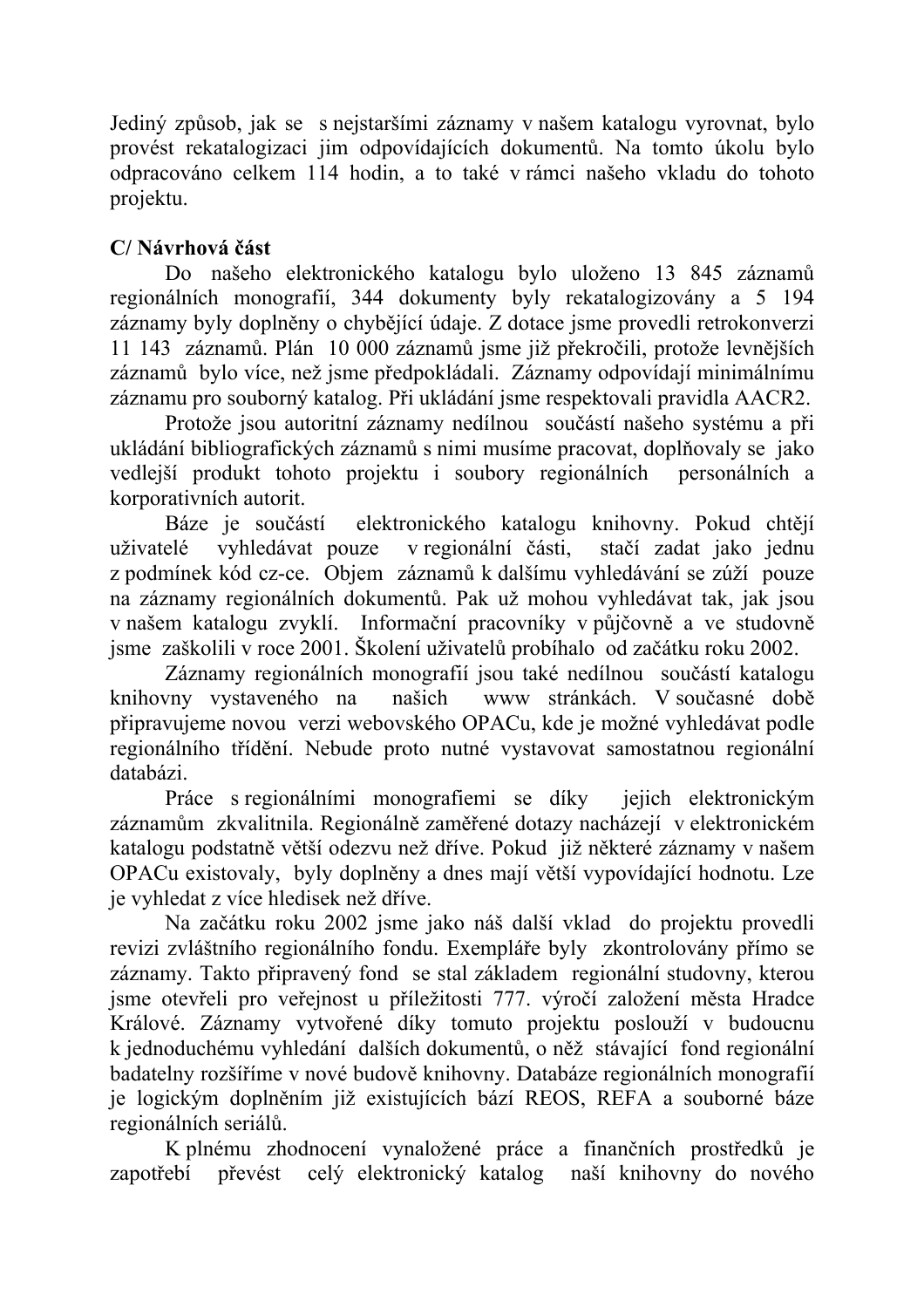Jediný způsob, jak se s nejstaršími záznamy v našem katalogu vyrovnat, bylo provést rekatalogizaci jim odpovídajících dokumentů. Na tomto úkolu bylo odpracováno celkem 114 hodin, a to také v rámci našeho vkladu do tohoto projektu.

# C/Návrhová část

Do našeho elektronického katalogu bylo uloženo 13 845 záznamů regionálních monografií, 344 dokumenty byly rekatalogizovány a 5 194 záznamy byly doplněny o chybějící údaje. Z dotace jsme provedli retrokonverzi 11 143 záznamů. Plán 10 000 záznamů jsme již překročili, protože levnějších záznamů bylo více, než jsme předpokládali. Záznamy odpovídají minimálnímu záznamu pro souborný katalog. Při ukládání jsme respektovali pravidla AACR2.

Protože jsou autoritní záznamy nedílnou součástí našeho systému a při ukládání bibliografických záznamů s nimi musíme pracovat, doplňovaly se jako vedlejší produkt tohoto projektu i soubory regionálních personálních a korporativních autorit.

Báze je součástí elektronického katalogu knihovny. Pokud chtějí v regionální části, stačí zadat jako jednu uživatelé vyhledávat pouze z podmínek kód cz-ce. Objem záznamů k dalšímu vyhledávání se zúží pouze na záznamy regionálních dokumentů. Pak už mohou vyhledávat tak, jak jsou v našem katalogu zvyklí. Informační pracovníky v půjčovně a ve studovně jsme zaškolili v roce 2001. Školení uživatelů probíhalo od začátku roku 2002.

Záznamy regionálních monografií jsou také nedílnou součástí katalogu knihovny vystaveného na www stránkách. V současné době našich připravujeme novou verzi webovského OPACu, kde je možné vyhledávat podle regionálního třídění. Nebude proto nutné vystavovat samostatnou regionální databázi.

Práce s regionálními monografiemi se díky jejich elektronickým záznamům zkvalitnila. Regionálně zaměřené dotazy nacházejí v elektronickém katalogu podstatně větší odezvu než dříve. Pokud iiž některé záznamy v našem OPACu existovaly, byly doplněny a dnes mají větší vypovídající hodnotu. Lze je vyhledat z více hledisek než dříve.

Na začátku roku 2002 jsme jako náš další vklad do projektu provedli revizi zvláštního regionálního fondu. Exempláře byly zkontrolovány přímo se záznamy. Takto připravený fond se stal základem regionální studovny, kterou jsme otevřeli pro veřejnost u příležitosti 777. výročí založení města Hradce Králové. Záznamy vytvořené díky tomuto projektu poslouží v budoucnu k jednoduchému vyhledání dalších dokumentů, o něž stávající fond regionální badatelny rozšíříme v nové budově knihovny. Databáze regionálních monografií je logickým doplněním již existujících bází REOS, REFA a souborné báze regionálních seriálů.

K plnému zhodnocení vynaložené práce a finančních prostředků je celý elektronický katalog naší knihovny do nového zapotřebí převést